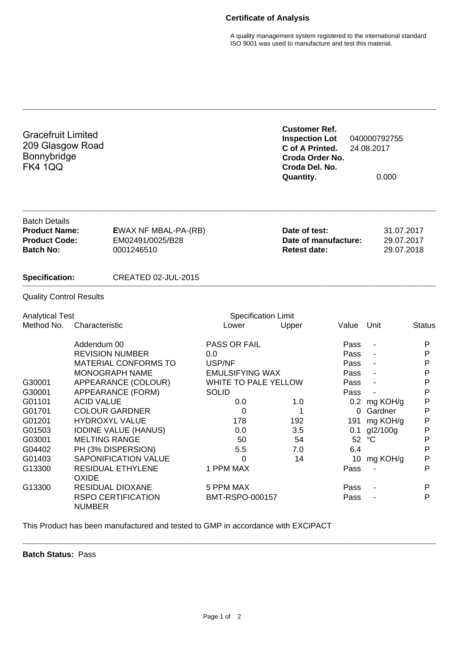## **Certificate of Analysis**

A quality management system registered to the international standard ISO 9001 was used to manufacture and test this material.

| <b>Gracefruit Limited</b><br>209 Glasgow Road<br>Bonnybridge<br><b>FK4 1QQ</b>           |                       |                                                               |                             | <b>Customer Ref.</b><br><b>Inspection Lot</b><br>C of A Printed.<br>Croda Order No.<br>Croda Del. No.<br><b>Quantity.</b> |       | 040000792755<br>24.08.2017<br>0.000    |              |  |
|------------------------------------------------------------------------------------------|-----------------------|---------------------------------------------------------------|-----------------------------|---------------------------------------------------------------------------------------------------------------------------|-------|----------------------------------------|--------------|--|
| <b>Batch Details</b><br><b>Product Name:</b><br><b>Product Code:</b><br><b>Batch No:</b> |                       | <b>EWAX NF MBAL-PA-(RB)</b><br>EM02491/0025/B28<br>0001246510 |                             | Date of test:<br>Date of manufacture:<br><b>Retest date:</b>                                                              |       | 31.07.2017<br>29.07.2017<br>29.07.2018 |              |  |
| <b>Specification:</b>                                                                    |                       | <b>CREATED 02-JUL-2015</b>                                    |                             |                                                                                                                           |       |                                        |              |  |
| <b>Quality Control Results</b>                                                           |                       |                                                               |                             |                                                                                                                           |       |                                        |              |  |
| <b>Analytical Test</b>                                                                   |                       | <b>Specification Limit</b>                                    |                             |                                                                                                                           |       |                                        |              |  |
| Method No.                                                                               | Characteristic        |                                                               | Lower                       | Upper                                                                                                                     | Value | Unit                                   | Status       |  |
|                                                                                          | Addendum 00           |                                                               | <b>PASS OR FAIL</b>         |                                                                                                                           | Pass  | ÷,                                     | P            |  |
|                                                                                          |                       | <b>REVISION NUMBER</b>                                        | 0.0                         |                                                                                                                           | Pass  | ÷,                                     | P            |  |
|                                                                                          |                       | <b>MATERIAL CONFORMS TO</b>                                   | USP/NF                      |                                                                                                                           | Pass  | L,                                     | P            |  |
|                                                                                          |                       | MONOGRAPH NAME                                                | <b>EMULSIFYING WAX</b>      |                                                                                                                           | Pass  |                                        | P            |  |
| G30001                                                                                   |                       | APPEARANCE (COLOUR)                                           | <b>WHITE TO PALE YELLOW</b> |                                                                                                                           | Pass  |                                        | P            |  |
| G30001                                                                                   |                       | APPEARANCE (FORM)                                             | <b>SOLID</b>                |                                                                                                                           | Pass  |                                        | $\mathsf{P}$ |  |
| G01101                                                                                   | <b>ACID VALUE</b>     |                                                               | 0.0                         | 1.0                                                                                                                       |       | 0.2 mg KOH/g                           | P            |  |
| G01701                                                                                   |                       | <b>COLOUR GARDNER</b>                                         | $\Omega$                    | 1                                                                                                                         |       | 0 Gardner                              | P            |  |
| G01201                                                                                   | <b>HYDROXYL VALUE</b> |                                                               | 178                         | 192                                                                                                                       | 191   | mg KOH/g                               | P            |  |
| G01503                                                                                   |                       | <b>IODINE VALUE (HANUS)</b>                                   | 0.0                         | 3.5                                                                                                                       | 0.1   | gl2/100g                               | P            |  |
| G03001                                                                                   | <b>MELTING RANGE</b>  |                                                               | 50                          | 54                                                                                                                        | 52    | $^{\circ}C$                            | $\mathsf{P}$ |  |
| G04402                                                                                   |                       | PH (3% DISPERSION)                                            | 5.5                         | 7.0                                                                                                                       | 6.4   |                                        | $\mathsf{P}$ |  |
| G01403                                                                                   |                       | SAPONIFICATION VALUE                                          | $\Omega$                    | 14                                                                                                                        | 10    | mg KOH/g                               | P            |  |
| G13300                                                                                   | <b>OXIDE</b>          | <b>RESIDUAL ETHYLENE</b>                                      | 1 PPM MAX                   |                                                                                                                           | Pass  |                                        | P            |  |
| G13300                                                                                   |                       | <b>RESIDUAL DIOXANE</b>                                       | 5 PPM MAX                   |                                                                                                                           | Pass  |                                        | P            |  |
|                                                                                          | <b>NUMBER</b>         | <b>RSPO CERTIFICATION</b>                                     | BMT-RSPO-000157             |                                                                                                                           | Pass  |                                        | P            |  |

**\_\_\_\_\_\_\_\_\_\_\_\_\_\_\_\_\_\_\_\_\_\_\_\_\_\_\_\_\_\_\_\_\_\_\_\_\_\_\_\_\_\_\_\_\_\_\_\_\_\_\_\_\_\_\_\_\_\_\_\_\_\_\_\_\_\_\_\_\_\_\_\_\_\_\_\_\_\_**

This Product has been manufactured and tested to GMP in accordance with EXCiPACT

**Batch Status:** Pass

**\_\_\_\_\_\_\_\_\_\_\_\_\_\_\_\_\_\_\_\_\_\_\_\_\_\_\_\_\_\_\_\_\_\_\_\_\_\_\_\_\_\_\_\_\_\_\_\_\_\_\_\_\_\_\_\_\_\_\_\_\_\_\_\_\_\_\_\_\_\_\_\_\_\_\_\_\_\_**